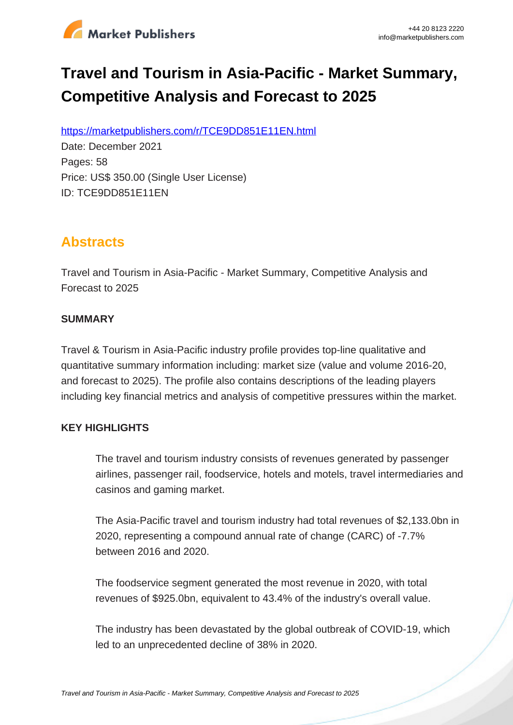

# **Travel and Tourism in Asia-Pacific - Market Summary, Competitive Analysis and Forecast to 2025**

https://marketpublishers.com/r/TCE9DD851E11EN.html

Date: December 2021 Pages: 58 Price: US\$ 350.00 (Single User License) ID: TCE9DD851E11EN

# **Abstracts**

Travel and Tourism in Asia-Pacific - Market Summary, Competitive Analysis and Forecast to 2025

#### **SUMMARY**

Travel & Tourism in Asia-Pacific industry profile provides top-line qualitative and quantitative summary information including: market size (value and volume 2016-20, and forecast to 2025). The profile also contains descriptions of the leading players including key financial metrics and analysis of competitive pressures within the market.

### **KEY HIGHLIGHTS**

The travel and tourism industry consists of revenues generated by passenger airlines, passenger rail, foodservice, hotels and motels, travel intermediaries and casinos and gaming market.

The Asia-Pacific travel and tourism industry had total revenues of \$2,133.0bn in 2020, representing a compound annual rate of change (CARC) of -7.7% between 2016 and 2020.

The foodservice segment generated the most revenue in 2020, with total revenues of \$925.0bn, equivalent to 43.4% of the industry's overall value.

The industry has been devastated by the global outbreak of COVID-19, which led to an unprecedented decline of 38% in 2020.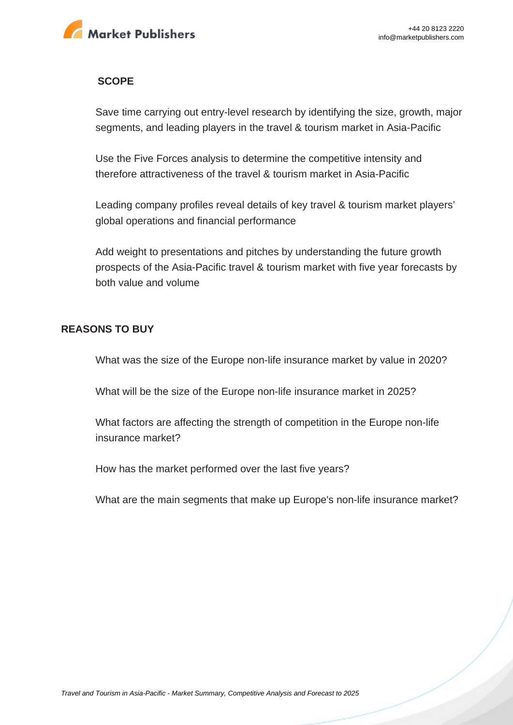

#### **SCOPE**

Save time carrying out entry-level research by identifying the size, growth, major segments, and leading players in the travel & tourism market in Asia-Pacific

Use the Five Forces analysis to determine the competitive intensity and therefore attractiveness of the travel & tourism market in Asia-Pacific

Leading company profiles reveal details of key travel & tourism market players' global operations and financial performance

Add weight to presentations and pitches by understanding the future growth prospects of the Asia-Pacific travel & tourism market with five year forecasts by both value and volume

#### **REASONS TO BUY**

What was the size of the Europe non-life insurance market by value in 2020?

What will be the size of the Europe non-life insurance market in 2025?

What factors are affecting the strength of competition in the Europe non-life insurance market?

How has the market performed over the last five years?

What are the main segments that make up Europe's non-life insurance market?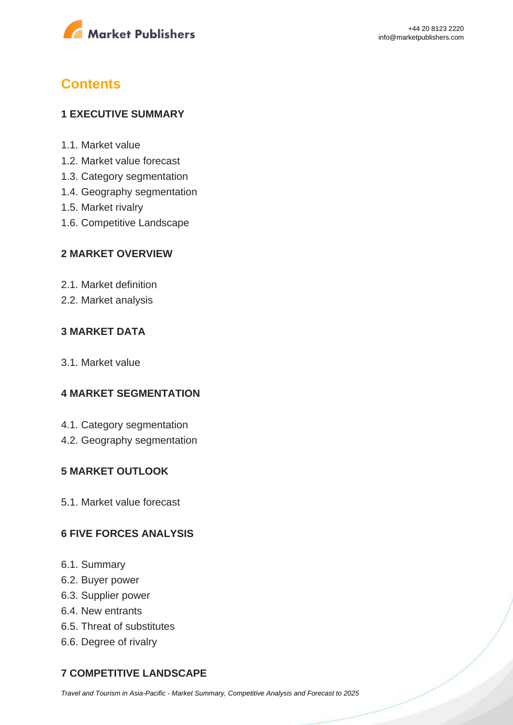

# **Contents**

#### **1 EXECUTIVE SUMMARY**

- 1.1. Market value
- 1.2. Market value forecast
- 1.3. Category segmentation
- 1.4. Geography segmentation
- 1.5. Market rivalry
- 1.6. Competitive Landscape

#### **2 MARKET OVERVIEW**

- 2.1. Market definition
- 2.2. Market analysis

#### **3 MARKET DATA**

3.1. Market value

#### **4 MARKET SEGMENTATION**

- 4.1. Category segmentation
- 4.2. Geography segmentation

#### **5 MARKET OUTLOOK**

5.1. Market value forecast

#### **6 FIVE FORCES ANALYSIS**

- 6.1. Summary
- 6.2. Buyer power
- 6.3. Supplier power
- 6.4. New entrants
- 6.5. Threat of substitutes
- 6.6. Degree of rivalry

### **7 COMPETITIVE LANDSCAPE**

[Travel and Tourism in Asia-Pacific - Market Summary, Competitive Analysis and Forecast to 2025](https://marketpublishers.com/report/services/travel-leisure/travel-n-tourism-in-asia-pacific-market-summary-competitive-analysis-n-forecast-to-2025.html)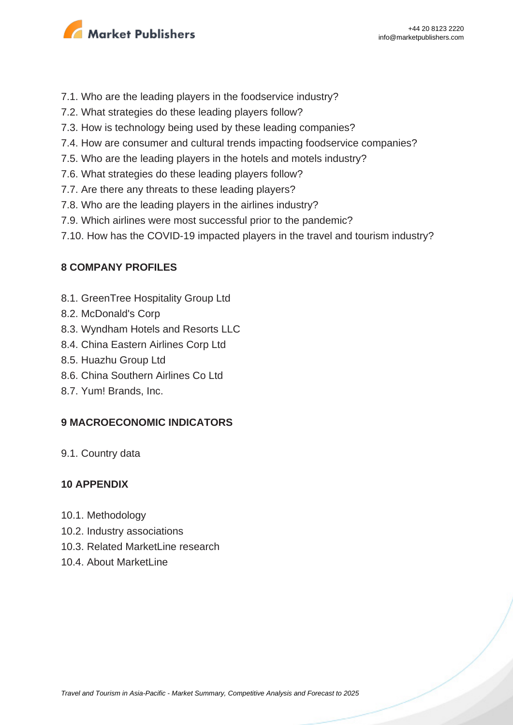

- 7.1. Who are the leading players in the foodservice industry?
- 7.2. What strategies do these leading players follow?
- 7.3. How is technology being used by these leading companies?
- 7.4. How are consumer and cultural trends impacting foodservice companies?
- 7.5. Who are the leading players in the hotels and motels industry?
- 7.6. What strategies do these leading players follow?
- 7.7. Are there any threats to these leading players?
- 7.8. Who are the leading players in the airlines industry?
- 7.9. Which airlines were most successful prior to the pandemic?
- 7.10. How has the COVID-19 impacted players in the travel and tourism industry?

#### **8 COMPANY PROFILES**

- 8.1. GreenTree Hospitality Group Ltd
- 8.2. McDonald's Corp
- 8.3. Wyndham Hotels and Resorts LLC
- 8.4. China Eastern Airlines Corp Ltd
- 8.5. Huazhu Group Ltd
- 8.6. China Southern Airlines Co Ltd
- 8.7. Yum! Brands, Inc.

#### **9 MACROECONOMIC INDICATORS**

9.1. Country data

#### **10 APPENDIX**

- 10.1. Methodology
- 10.2. Industry associations
- 10.3. Related MarketLine research
- 10.4. About MarketLine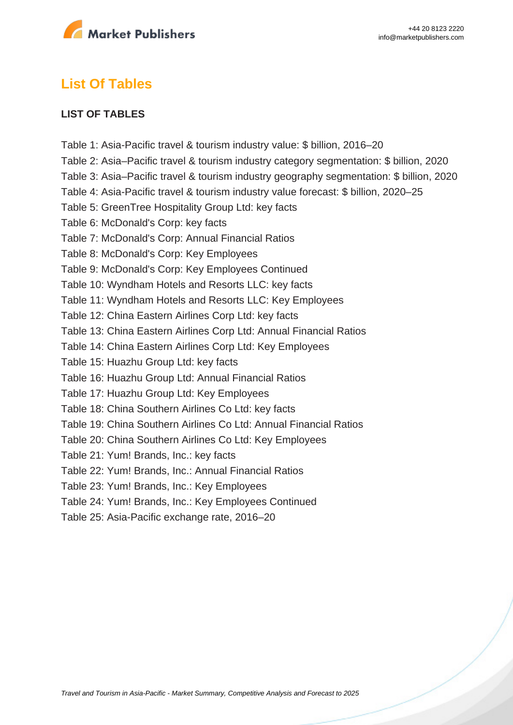

### **List Of Tables**

#### **LIST OF TABLES**

Table 1: Asia-Pacific travel & tourism industry value: \$ billion, 2016–20 Table 2: Asia–Pacific travel & tourism industry category segmentation: \$ billion, 2020 Table 3: Asia–Pacific travel & tourism industry geography segmentation: \$ billion, 2020 Table 4: Asia-Pacific travel & tourism industry value forecast: \$ billion, 2020–25 Table 5: GreenTree Hospitality Group Ltd: key facts Table 6: McDonald's Corp: key facts Table 7: McDonald's Corp: Annual Financial Ratios Table 8: McDonald's Corp: Key Employees Table 9: McDonald's Corp: Key Employees Continued Table 10: Wyndham Hotels and Resorts LLC: key facts Table 11: Wyndham Hotels and Resorts LLC: Key Employees Table 12: China Eastern Airlines Corp Ltd: key facts Table 13: China Eastern Airlines Corp Ltd: Annual Financial Ratios Table 14: China Eastern Airlines Corp Ltd: Key Employees Table 15: Huazhu Group Ltd: key facts Table 16: Huazhu Group Ltd: Annual Financial Ratios Table 17: Huazhu Group Ltd: Key Employees Table 18: China Southern Airlines Co Ltd: key facts Table 19: China Southern Airlines Co Ltd: Annual Financial Ratios Table 20: China Southern Airlines Co Ltd: Key Employees Table 21: Yum! Brands, Inc.: key facts Table 22: Yum! Brands, Inc.: Annual Financial Ratios Table 23: Yum! Brands, Inc.: Key Employees Table 24: Yum! Brands, Inc.: Key Employees Continued Table 25: Asia-Pacific exchange rate, 2016–20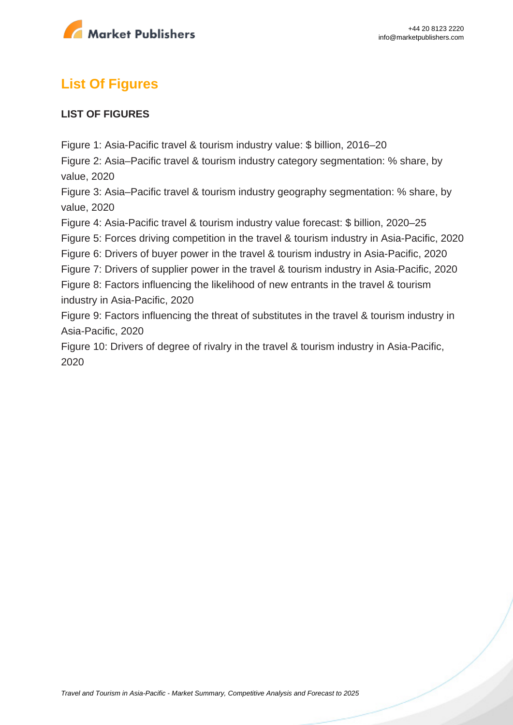

# **List Of Figures**

#### **LIST OF FIGURES**

Figure 1: Asia-Pacific travel & tourism industry value: \$ billion, 2016–20

Figure 2: Asia–Pacific travel & tourism industry category segmentation: % share, by value, 2020

Figure 3: Asia–Pacific travel & tourism industry geography segmentation: % share, by value, 2020

Figure 4: Asia-Pacific travel & tourism industry value forecast: \$ billion, 2020–25

Figure 5: Forces driving competition in the travel & tourism industry in Asia-Pacific, 2020

Figure 6: Drivers of buyer power in the travel & tourism industry in Asia-Pacific, 2020

Figure 7: Drivers of supplier power in the travel & tourism industry in Asia-Pacific, 2020

Figure 8: Factors influencing the likelihood of new entrants in the travel & tourism industry in Asia-Pacific, 2020

Figure 9: Factors influencing the threat of substitutes in the travel & tourism industry in Asia-Pacific, 2020

Figure 10: Drivers of degree of rivalry in the travel & tourism industry in Asia-Pacific, 2020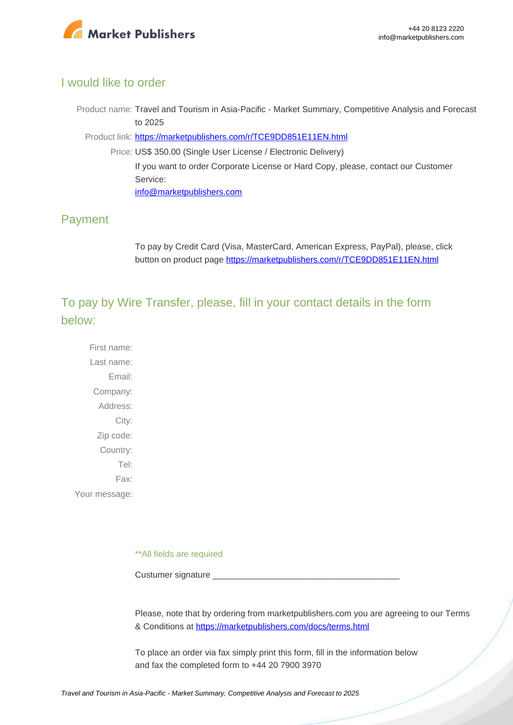

#### I would like to order

Product name: Travel and Tourism in Asia-Pacific - Market Summary, Competitive Analysis and Forecast to 2025

Product link: [https://marketpublishers.com/r/TCE9DD851E11EN.html](https://marketpublishers.com/report/services/travel-leisure/travel-n-tourism-in-asia-pacific-market-summary-competitive-analysis-n-forecast-to-2025.html)

Price: US\$ 350.00 (Single User License / Electronic Delivery) If you want to order Corporate License or Hard Copy, please, contact our Customer Service: [info@marketpublishers.com](mailto:info@marketpublishers.com)

### Payment

To pay by Credit Card (Visa, MasterCard, American Express, PayPal), please, click button on product page [https://marketpublishers.com/r/TCE9DD851E11EN.html](https://marketpublishers.com/report/services/travel-leisure/travel-n-tourism-in-asia-pacific-market-summary-competitive-analysis-n-forecast-to-2025.html)

To pay by Wire Transfer, please, fill in your contact details in the form below:

First name: Last name: Email: Company: Address: City: Zip code: Country: Tel: Fax: Your message:

\*\*All fields are required

Custumer signature

Please, note that by ordering from marketpublishers.com you are agreeing to our Terms & Conditions at<https://marketpublishers.com/docs/terms.html>

To place an order via fax simply print this form, fill in the information below and fax the completed form to +44 20 7900 3970